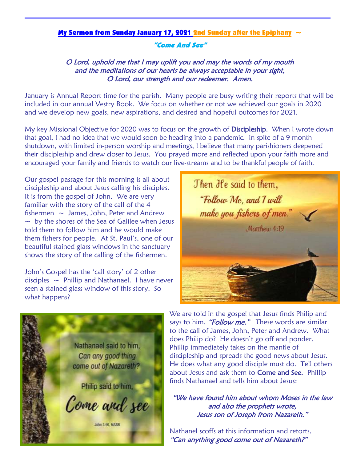## My Sermon from Sunday January 17, 2021 2nd Sunday after the Epiphany  $\sim$

## "Come And See"

## O Lord, uphold me that I may uplift you and may the words of my mouth and the meditations of our hearts be always acceptable in your sight, O Lord, our strength and our redeemer. Amen.

January is Annual Report time for the parish. Many people are busy writing their reports that will be included in our annual Vestry Book. We focus on whether or not we achieved our goals in 2020 and we develop new goals, new aspirations, and desired and hopeful outcomes for 2021.

My key Missional Objective for 2020 was to focus on the growth of Discipleship. When I wrote down that goal, I had no idea that we would soon be heading into a pandemic. In spite of a 9 month shutdown, with limited in-person worship and meetings, I believe that many parishioners deepened their discipleship and drew closer to Jesus. You prayed more and reflected upon your faith more and encouraged your family and friends to watch our live-streams and to be thankful people of faith.

Our gospel passage for this morning is all about discipleship and about Jesus calling his disciples. It is from the gospel of John. We are very familiar with the story of the call of the 4 fishermen  $\sim$  James, John, Peter and Andrew  $\sim$  by the shores of the Sea of Galilee when Jesus told them to follow him and he would make them fishers for people. At St. Paul's, one of our beautiful stained glass windows in the sanctuary shows the story of the calling of the fishermen.

John's Gospel has the 'call story' of 2 other disciples  $\sim$  Phillip and Nathanael. I have never seen a stained glass window of this story. So what happens?





We are told in the gospel that Jesus finds Philip and says to him, "**Follow me."** These words are similar to the call of James, John, Peter and Andrew. What does Philip do? He doesn't go off and ponder. Phillip immediately takes on the mantle of discipleship and spreads the good news about Jesus. He does what any good disciple must do. Tell others about Jesus and ask them to Come and See. Phillip finds Nathanael and tells him about Jesus:

"We have found him about whom Moses in the law and also the prophets wrote, Jesus son of Joseph from Nazareth."

Nathanel scoffs at this information and retorts, "Can anything good come out of Nazareth?"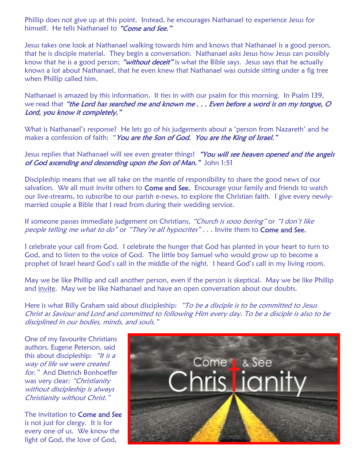Phillip does not give up at this point. Instead, he encourages Nathanael to experience Jesus for himself. He tells Nathanael to "Come and See."

Jesus takes one look at Nathanael walking towards him and knows that Nathanael is a good person, that he is disciple material. They begin a conversation. Nathanael asks Jesus how Jesus can possibly know that he is a good person; "without deceit" is what the Bible says. Jesus says that he actually knows a lot about Nathanael, that he even knew that Nathanael was outside sitting under a fig tree when Phillip called him.

Nathanael is amazed by this information. It ties in with our psalm for this morning. In Psalm 139, we read that "the Lord has searched me and known me . . . Even before a word is on my tongue, O Lord, you know it completely."

What is Nathanael's response? He lets go of his judgements about a 'person from Nazareth' and he makes a confession of faith: "You are the Son of God. You are the King of Israel."

Jesus replies that Nathanael will see even greater things! "You will see heaven opened and the angels of God ascending and descending upon the Son of Man." John 1:51

Discipleship means that we all take on the mantle of responsibility to share the good news of our salvation. We all must invite others to **Come and See.** Encourage your family and friends to watch our live-streams, to subscribe to our parish e-news, to explore the Christian faith. I give every newlymarried couple a Bible that I read from during their wedding service.

If someone passes immediate judgement on Christians, "Church is sooo boring" or "I don't like people telling me what to do" or "They're all hypocrites"... Invite them to Come and See.

I celebrate your call from God. I celebrate the hunger that God has planted in your heart to turn to God, and to listen to the voice of God. The little boy Samuel who would grow up to become a prophet of Israel heard God's call in the middle of the night. I heard God's call in my living room.

May we be like Phillip and call another person, even if the person is skeptical. May we be like Phillip and invite. May we be like Nathanael and have an open conversation about our doubts.

Here is what Billy Graham said about discipleship: "To be a disciple is to be committed to Jesus Christ as Saviour and Lord and committed to following Him every day. To be a disciple is also to be disciplined in our bodies, minds, and souls."

One of my favourite Christians authors, Eugene Peterson, said this about discipleship:  $\mathscr{L}$  is a way of life we were created for." And Dietrich Bonhoeffer was very clear: "Christianity without discipleship is always Christianity without Christ."

The invitation to **Come and See** is not just for clergy. It is for every one of us. We know the light of God, the love of God,